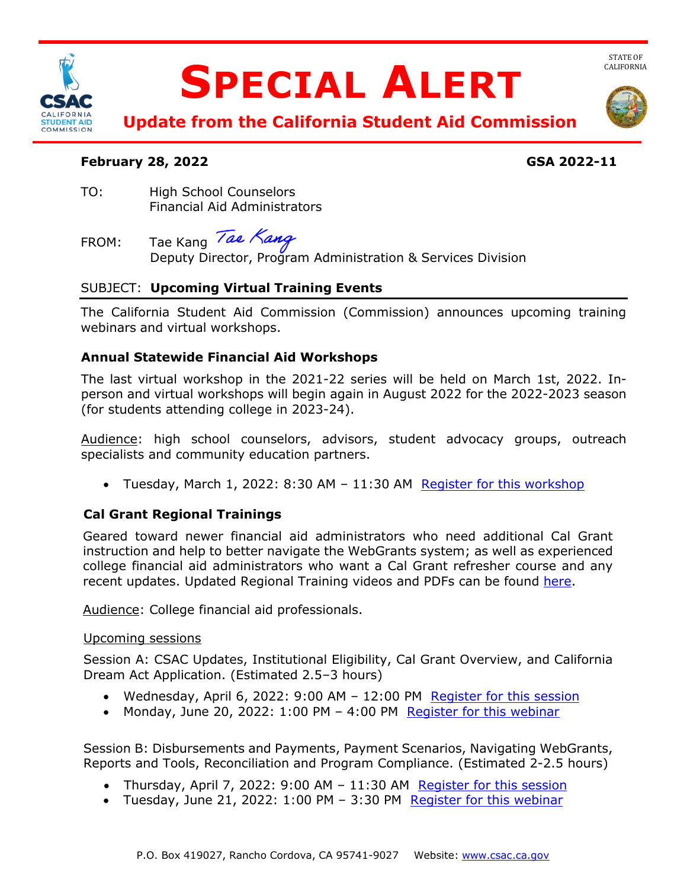

# **SPECIAL ALERT**



**Update from the California Student Aid Commission** 

## **February 28, 2022 GSA 2022-11**

TO: High School Counselors Financial Aid Administrators

FROM: Tae Kang Deputy Director, Program Administration & Services Division

# SUBJECT: **Upcoming Virtual Training Events**

The California Student Aid Commission (Commission) announces upcoming training webinars and virtual workshops.

# **Annual Statewide Financial Aid Workshops**

The last virtual workshop in the 2021-22 series will be held on March 1st, 2022. Inperson and virtual workshops will begin again in August 2022 for the 2022-2023 season (for students attending college in 2023-24).

Audience: high school counselors, advisors, student advocacy groups, outreach specialists and community education partners.

• Tuesday, March 1, 2022: 8:30 AM – 11:30 AM [Register for this workshop](https://csac-ca-gov.zoom.us/webinar/register/WN_O703fd8mR-K3ktJdJGX2cg) 

# **Cal Grant Regional Trainings**

Geared toward newer financial aid administrators who need additional Cal Grant instruction and help to better navigate the WebGrants system; as well as experienced college financial aid administrators who want a Cal Grant refresher course and any recent updates. Updated Regional Training videos and PDFs can be found [here.](https://www.csac.ca.gov/csac-regional-training)

Audience: College financial aid professionals.

### Upcoming sessions

Session A: CSAC Updates, Institutional Eligibility, Cal Grant Overview, and California Dream Act Application. (Estimated 2.5–3 hours)

- Wednesday, April 6, 2022: 9:00 AM 12:00 PM Register for this session
- Monday, June 20, 2022: 1:00 PM 4:00 PM [Register for this webinar](https://csac-ca-gov.zoom.us/webinar/register/WN_ulCsW2GWT6myk7h6YCGgBg)

Session B: Disbursements and Payments, Payment Scenarios, Navigating WebGrants, Reports and Tools, Reconciliation and Program Compliance. (Estimated 2-2.5 hours)

- Thursday, April 7, 2022: 9:00 AM 11:30 AM Register for this session
- Tuesday, June 21, 2022: 1:00 PM 3:30 PM Register for this webinar